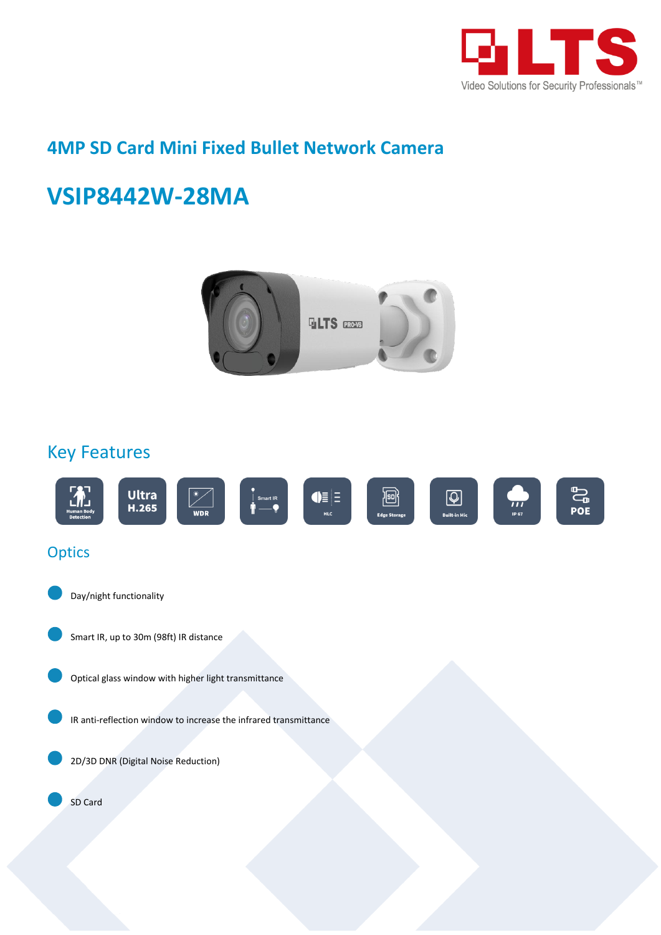

# **4MP SD Card Mini Fixed Bullet Network Camera**

# **VSIP8442W-28MA**



## Key Features

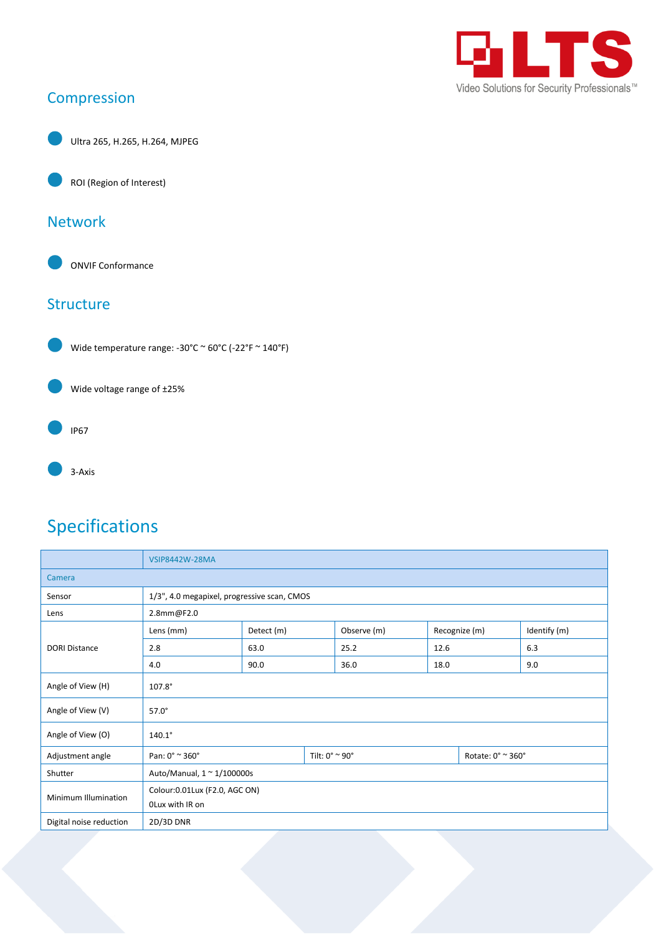

## Compression

Ultra 265, H.265, H.264, MJPEG

ROI (Region of Interest)

#### Network

ONVIF Conformance

#### **Structure**



Wide temperature range: -30°C ~ 60°C (-22°F ~ 140°F)





3-Axis

# Specifications

|                         | <b>VSIP8442W-28MA</b>                       |            |                                  |             |      |                   |              |  |
|-------------------------|---------------------------------------------|------------|----------------------------------|-------------|------|-------------------|--------------|--|
| Camera                  |                                             |            |                                  |             |      |                   |              |  |
| Sensor                  | 1/3", 4.0 megapixel, progressive scan, CMOS |            |                                  |             |      |                   |              |  |
| Lens                    | 2.8mm@F2.0                                  |            |                                  |             |      |                   |              |  |
| <b>DORI Distance</b>    | Lens (mm)                                   | Detect (m) |                                  | Observe (m) |      | Recognize (m)     | Identify (m) |  |
|                         | 2.8                                         | 63.0       |                                  | 25.2        | 12.6 |                   | 6.3          |  |
|                         | 4.0                                         | 90.0       |                                  | 36.0        | 18.0 |                   | 9.0          |  |
| Angle of View (H)       | $107.8^\circ$                               |            |                                  |             |      |                   |              |  |
| Angle of View (V)       | $57.0^\circ$                                |            |                                  |             |      |                   |              |  |
| Angle of View (O)       | $140.1^\circ$                               |            |                                  |             |      |                   |              |  |
| Adjustment angle        | Pan: $0^{\circ} \approx 360^{\circ}$        |            | Tilt: $0^\circ \approx 90^\circ$ |             |      | Rotate: 0° ~ 360° |              |  |
| Shutter                 | Auto/Manual, $1 \approx 1/100000$ s         |            |                                  |             |      |                   |              |  |
| Minimum Illumination    | Colour: 0.01 Lux (F2.0, AGC ON)             |            |                                  |             |      |                   |              |  |
|                         | OLux with IR on                             |            |                                  |             |      |                   |              |  |
| Digital noise reduction | 2D/3D DNR                                   |            |                                  |             |      |                   |              |  |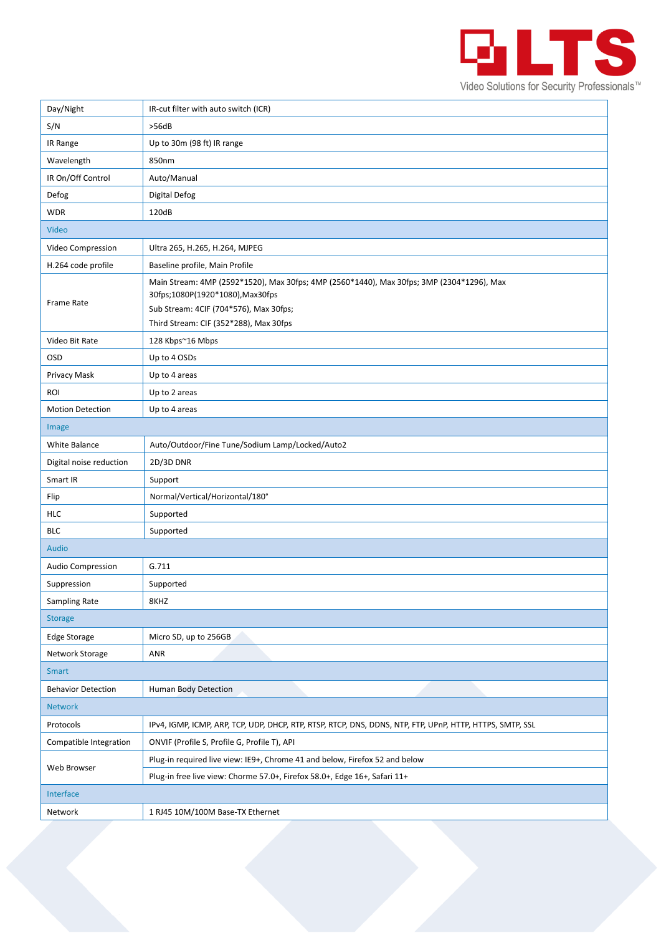

| Day/Night                 | IR-cut filter with auto switch (ICR)                                                                                                                                                                              |  |  |  |
|---------------------------|-------------------------------------------------------------------------------------------------------------------------------------------------------------------------------------------------------------------|--|--|--|
| S/N                       | >56dB                                                                                                                                                                                                             |  |  |  |
| IR Range                  | Up to 30m (98 ft) IR range                                                                                                                                                                                        |  |  |  |
| Wavelength                | 850nm                                                                                                                                                                                                             |  |  |  |
| IR On/Off Control         | Auto/Manual                                                                                                                                                                                                       |  |  |  |
| Defog                     | <b>Digital Defog</b>                                                                                                                                                                                              |  |  |  |
| <b>WDR</b>                | 120dB                                                                                                                                                                                                             |  |  |  |
| Video                     |                                                                                                                                                                                                                   |  |  |  |
| Video Compression         | Ultra 265, H.265, H.264, MJPEG                                                                                                                                                                                    |  |  |  |
| H.264 code profile        | Baseline profile, Main Profile                                                                                                                                                                                    |  |  |  |
| <b>Frame Rate</b>         | Main Stream: 4MP (2592*1520), Max 30fps; 4MP (2560*1440), Max 30fps; 3MP (2304*1296), Max<br>30fps;1080P(1920*1080), Max30fps<br>Sub Stream: 4CIF (704*576), Max 30fps;<br>Third Stream: CIF (352*288), Max 30fps |  |  |  |
| Video Bit Rate            | 128 Kbps~16 Mbps                                                                                                                                                                                                  |  |  |  |
| <b>OSD</b>                | Up to 4 OSDs                                                                                                                                                                                                      |  |  |  |
| Privacy Mask              | Up to 4 areas                                                                                                                                                                                                     |  |  |  |
| ROI                       | Up to 2 areas                                                                                                                                                                                                     |  |  |  |
| <b>Motion Detection</b>   | Up to 4 areas                                                                                                                                                                                                     |  |  |  |
| Image                     |                                                                                                                                                                                                                   |  |  |  |
| White Balance             | Auto/Outdoor/Fine Tune/Sodium Lamp/Locked/Auto2                                                                                                                                                                   |  |  |  |
| Digital noise reduction   | 2D/3D DNR                                                                                                                                                                                                         |  |  |  |
| Smart IR                  | Support                                                                                                                                                                                                           |  |  |  |
| Flip                      | Normal/Vertical/Horizontal/180°                                                                                                                                                                                   |  |  |  |
| HLC                       | Supported                                                                                                                                                                                                         |  |  |  |
| <b>BLC</b>                | Supported                                                                                                                                                                                                         |  |  |  |
| Audio                     |                                                                                                                                                                                                                   |  |  |  |
| Audio Compression         | G.711                                                                                                                                                                                                             |  |  |  |
| Suppression               | Supported                                                                                                                                                                                                         |  |  |  |
| Sampling Rate             | 8KHZ                                                                                                                                                                                                              |  |  |  |
| <b>Storage</b>            |                                                                                                                                                                                                                   |  |  |  |
| <b>Edge Storage</b>       | Micro SD, up to 256GB                                                                                                                                                                                             |  |  |  |
| Network Storage           | ANR                                                                                                                                                                                                               |  |  |  |
| <b>Smart</b>              |                                                                                                                                                                                                                   |  |  |  |
| <b>Behavior Detection</b> | Human Body Detection                                                                                                                                                                                              |  |  |  |
| <b>Network</b>            |                                                                                                                                                                                                                   |  |  |  |
| Protocols                 | IPv4, IGMP, ICMP, ARP, TCP, UDP, DHCP, RTP, RTSP, RTCP, DNS, DDNS, NTP, FTP, UPnP, HTTP, HTTPS, SMTP, SSL                                                                                                         |  |  |  |
| Compatible Integration    | ONVIF (Profile S, Profile G, Profile T), API                                                                                                                                                                      |  |  |  |
| Web Browser               | Plug-in required live view: IE9+, Chrome 41 and below, Firefox 52 and below                                                                                                                                       |  |  |  |
|                           | Plug-in free live view: Chorme 57.0+, Firefox 58.0+, Edge 16+, Safari 11+                                                                                                                                         |  |  |  |
| Interface                 |                                                                                                                                                                                                                   |  |  |  |
| Network                   | 1 RJ45 10M/100M Base-TX Ethernet                                                                                                                                                                                  |  |  |  |